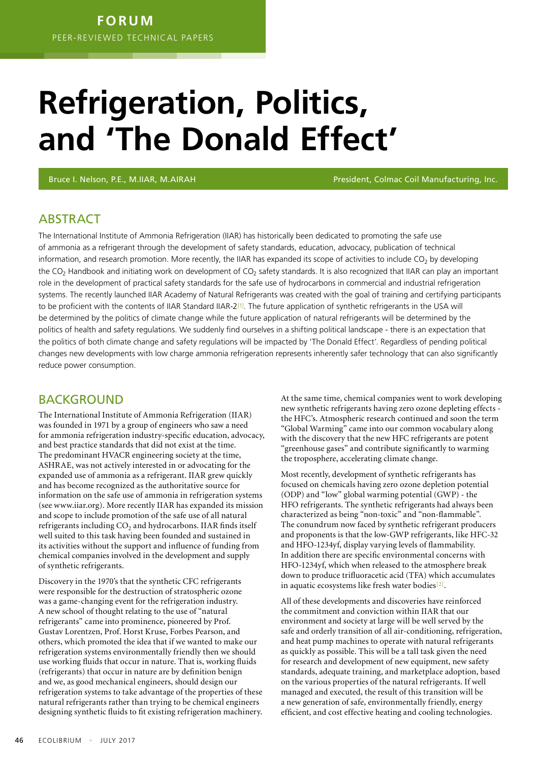## **Refrigeration, Politics, and 'The Donald Effect'**

Bruce I. Nelson, P.E., M.IIAR, M.AIRAH President, Colmac Coil Manufacturing, Inc.

## **ABSTRACT**

The International Institute of Ammonia Refrigeration (IIAR) has historically been dedicated to promoting the safe use of ammonia as a refrigerant through the development of safety standards, education, advocacy, publication of technical information, and research promotion. More recently, the IIAR has expanded its scope of activities to include  $CO<sub>2</sub>$  by developing the CO<sub>2</sub> Handbook and initiating work on development of CO<sub>2</sub> safety standards. It is also recognized that IIAR can play an important role in the development of practical safety standards for the safe use of hydrocarbons in commercial and industrial refrigeration systems. The recently launched IIAR Academy of Natural Refrigerants was created with the goal of training and certifying participants to be proficient with the contents of IIAR Standard IIAR-2<sup>[1]</sup>. The future application of synthetic refrigerants in the USA will be determined by the politics of climate change while the future application of natural refrigerants will be determined by the politics of health and safety regulations. We suddenly find ourselves in a shifting political landscape - there is an expectation that the politics of both climate change and safety regulations will be impacted by 'The Donald Effect'. Regardless of pending political changes new developments with low charge ammonia refrigeration represents inherently safer technology that can also significantly reduce power consumption.

## BACKGROUND

The International Institute of Ammonia Refrigeration (IIAR) was founded in 1971 by a group of engineers who saw a need for ammonia refrigeration industry-specific education, advocacy, and best practice standards that did not exist at the time. The predominant HVACR engineering society at the time, ASHRAE, was not actively interested in or advocating for the expanded use of ammonia as a refrigerant. IIAR grew quickly and has become recognized as the authoritative source for information on the safe use of ammonia in refrigeration systems (see www.iiar.org). More recently IIAR has expanded its mission and scope to include promotion of the safe use of all natural refrigerants including  $CO<sub>2</sub>$  and hydrocarbons. IIAR finds itself well suited to this task having been founded and sustained in its activities without the support and influence of funding from chemical companies involved in the development and supply of synthetic refrigerants.

Discovery in the 1970's that the synthetic CFC refrigerants were responsible for the destruction of stratospheric ozone was a game-changing event for the refrigeration industry. A new school of thought relating to the use of "natural refrigerants" came into prominence, pioneered by Prof. Gustav Lorentzen, Prof. Horst Kruse, Forbes Pearson, and others, which promoted the idea that if we wanted to make our refrigeration systems environmentally friendly then we should use working fluids that occur in nature. That is, working fluids (refrigerants) that occur in nature are by definition benign and we, as good mechanical engineers, should design our refrigeration systems to take advantage of the properties of these natural refrigerants rather than trying to be chemical engineers designing synthetic fluids to fit existing refrigeration machinery. At the same time, chemical companies went to work developing new synthetic refrigerants having zero ozone depleting effects the HFC's. Atmospheric research continued and soon the term "Global Warming" came into our common vocabulary along with the discovery that the new HFC refrigerants are potent "greenhouse gases" and contribute significantly to warming the troposphere, accelerating climate change.

Most recently, development of synthetic refrigerants has focused on chemicals having zero ozone depletion potential (ODP) and "low" global warming potential (GWP) - the HFO refrigerants. The synthetic refrigerants had always been characterized as being "non-toxic" and "non-flammable". The conundrum now faced by synthetic refrigerant producers and proponents is that the low-GWP refrigerants, like HFC-32 and HFO-1234yf, display varying levels of flammability. In addition there are specific environmental concerns with HFO-1234yf, which when released to the atmosphere break down to produce trifluoracetic acid (TFA) which accumulates in aquatic ecosystems like fresh water bodies<sup>[2]</sup>.

All of these developments and discoveries have reinforced the commitment and conviction within IIAR that our environment and society at large will be well served by the safe and orderly transition of all air-conditioning, refrigeration, and heat pump machines to operate with natural refrigerants as quickly as possible. This will be a tall task given the need for research and development of new equipment, new safety standards, adequate training, and marketplace adoption, based on the various properties of the natural refrigerants. If well managed and executed, the result of this transition will be a new generation of safe, environmentally friendly, energy efficient, and cost effective heating and cooling technologies.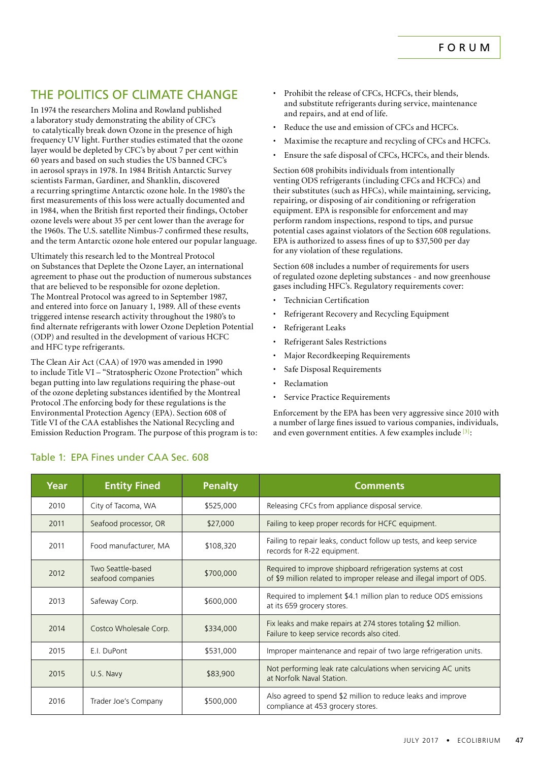## THE POLITICS OF CLIMATE CHANGE

In 1974 the researchers Molina and Rowland published a laboratory study demonstrating the ability of CFC's to catalytically break down Ozone in the presence of high frequency UV light. Further studies estimated that the ozone layer would be depleted by CFC's by about 7 per cent within 60 years and based on such studies the US banned CFC's in aerosol sprays in 1978. In 1984 British Antarctic Survey scientists Farman, Gardiner, and Shanklin, discovered a recurring springtime Antarctic ozone hole. In the 1980's the first measurements of this loss were actually documented and in 1984, when the British first reported their findings, October ozone levels were about 35 per cent lower than the average for the 1960s. The U.S. satellite Nimbus-7 confirmed these results, and the term Antarctic ozone hole entered our popular language.

Ultimately this research led to the Montreal Protocol on Substances that Deplete the Ozone Layer, an international agreement to phase out the production of numerous substances that are believed to be responsible for ozone depletion. The Montreal Protocol was agreed to in September 1987, and entered into force on January 1, 1989. All of these events triggered intense research activity throughout the 1980's to find alternate refrigerants with lower Ozone Depletion Potential (ODP) and resulted in the development of various HCFC and HFC type refrigerants.

The Clean Air Act (CAA) of 1970 was amended in 1990 to include Title VI – "Stratospheric Ozone Protection" which began putting into law regulations requiring the phase-out of the ozone depleting substances identified by the Montreal Protocol .The enforcing body for these regulations is the Environmental Protection Agency (EPA). Section 608 of Title VI of the CAA establishes the National Recycling and Emission Reduction Program. The purpose of this program is to:

#### Table 1: EPA Fines under CAA Sec. 608

- Prohibit the release of CFCs, HCFCs, their blends, and substitute refrigerants during service, maintenance and repairs, and at end of life.
- Reduce the use and emission of CFCs and HCFCs.
- Maximise the recapture and recycling of CFCs and HCFCs.
- Ensure the safe disposal of CFCs, HCFCs, and their blends.

Section 608 prohibits individuals from intentionally venting ODS refrigerants (including CFCs and HCFCs) and their substitutes (such as HFCs), while maintaining, servicing, repairing, or disposing of air conditioning or refrigeration equipment. EPA is responsible for enforcement and may perform random inspections, respond to tips, and pursue potential cases against violators of the Section 608 regulations. EPA is authorized to assess fines of up to \$37,500 per day for any violation of these regulations.

Section 608 includes a number of requirements for users of regulated ozone depleting substances - and now greenhouse gases including HFC's. Regulatory requirements cover:

- Technician Certification
- Refrigerant Recovery and Recycling Equipment
- Refrigerant Leaks
- Refrigerant Sales Restrictions
- Major Recordkeeping Requirements
- Safe Disposal Requirements
- **Reclamation**
- Service Practice Requirements

Enforcement by the EPA has been very aggressive since 2010 with a number of large fines issued to various companies, individuals, and even government entities. A few examples include [3]:

| Year | <b>Entity Fined</b>                    | <b>Penalty</b> | <b>Comments</b>                                                                                                                      |
|------|----------------------------------------|----------------|--------------------------------------------------------------------------------------------------------------------------------------|
| 2010 | City of Tacoma, WA                     | \$525,000      | Releasing CFCs from appliance disposal service.                                                                                      |
| 2011 | Seafood processor, OR                  | \$27,000       | Failing to keep proper records for HCFC equipment.                                                                                   |
| 2011 | Food manufacturer, MA                  | \$108,320      | Failing to repair leaks, conduct follow up tests, and keep service<br>records for R-22 equipment.                                    |
| 2012 | Two Seattle-based<br>seafood companies | \$700,000      | Required to improve shipboard refrigeration systems at cost<br>of \$9 million related to improper release and illegal import of ODS. |
| 2013 | Safeway Corp.                          | \$600,000      | Required to implement \$4.1 million plan to reduce ODS emissions<br>at its 659 grocery stores.                                       |
| 2014 | Costco Wholesale Corp.                 | \$334,000      | Fix leaks and make repairs at 274 stores totaling \$2 million.<br>Failure to keep service records also cited.                        |
| 2015 | E.I. DuPont                            | \$531,000      | Improper maintenance and repair of two large refrigeration units.                                                                    |
| 2015 | U.S. Navy                              | \$83,900       | Not performing leak rate calculations when servicing AC units<br>at Norfolk Naval Station.                                           |
| 2016 | Trader Joe's Company                   | \$500,000      | Also agreed to spend \$2 million to reduce leaks and improve<br>compliance at 453 grocery stores.                                    |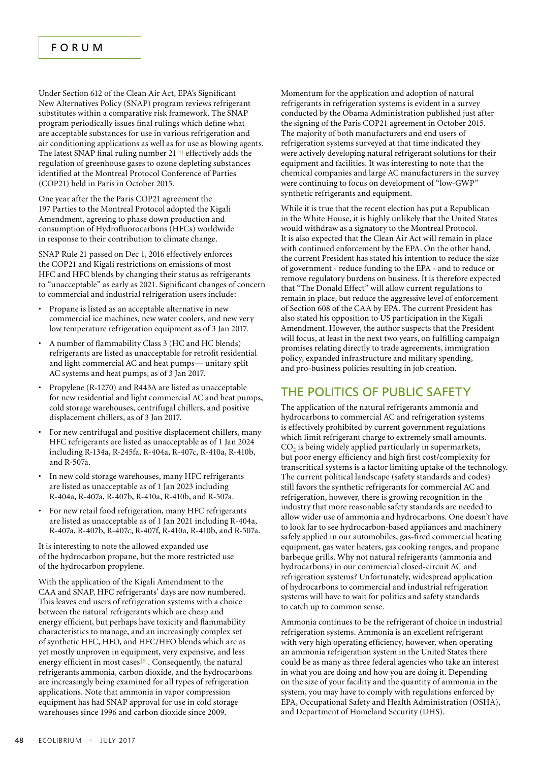#### FORUM

Under Section 612 of the Clean Air Act, EPA's Significant New Alternatives Policy (SNAP) program reviews refrigerant substitutes within a comparative risk framework. The SNAP program periodically issues final rulings which define what are acceptable substances for use in various refrigeration and air conditioning applications as well as for use as blowing agents. The latest SNAP final ruling number  $21^{[4]}$  effectively adds the regulation of greenhouse gases to ozone depleting substances identified at the Montreal Protocol Conference of Parties (COP21) held in Paris in October 2015.

One year after the the Paris COP21 agreement the 197 Parties to the Montreal Protocol adopted the Kigali Amendment, agreeing to phase down production and consumption of Hydrofluorocarbons (HFCs) worldwide in response to their contribution to climate change.

SNAP Rule 21 passed on Dec 1, 2016 effectively enforces the COP21 and Kigali restrictions on emissions of most HFC and HFC blends by changing their status as refrigerants to "unacceptable" as early as 2021. Significant changes of concern to commercial and industrial refrigeration users include:

- Propane is listed as an acceptable alternative in new commercial ice machines, new water coolers, and new very low temperature refrigeration equipment as of 3 Jan 2017.
- A number of flammability Class 3 (HC and HC blends) refrigerants are listed as unacceptable for retrofit residential and light commercial AC and heat pumps— unitary split AC systems and heat pumps, as of 3 Jan 2017.
- Propylene (R-1270) and R443A are listed as unacceptable for new residential and light commercial AC and heat pumps, cold storage warehouses, centrifugal chillers, and positive displacement chillers, as of 3 Jan 2017.
- For new centrifugal and positive displacement chillers, many HFC refrigerants are listed as unacceptable as of 1 Jan 2024 including R-134a, R-245fa, R-404a, R-407c, R-410a, R-410b, and R-507a.
- In new cold storage warehouses, many HFC refrigerants are listed as unacceptable as of 1 Jan 2023 including R-404a, R-407a, R-407b, R-410a, R-410b, and R-507a.
- For new retail food refrigeration, many HFC refrigerants are listed as unacceptable as of 1 Jan 2021 including R-404a, R-407a, R-407b, R-407c, R-407f, R-410a, R-410b, and R-507a.

It is interesting to note the allowed expanded use of the hydrocarbon propane, but the more restricted use of the hydrocarbon propylene.

With the application of the Kigali Amendment to the CAA and SNAP, HFC refrigerants' days are now numbered. This leaves end users of refrigeration systems with a choice between the natural refrigerants which are cheap and energy efficient, but perhaps have toxicity and flammability characteristics to manage, and an increasingly complex set of synthetic HFC, HFO, and HFC/HFO blends which are as yet mostly unproven in equipment, very expensive, and less energy efficient in most cases<sup>[5]</sup>. Consequently, the natural refrigerants ammonia, carbon dioxide, and the hydrocarbons are increasingly being examined for all types of refrigeration applications. Note that ammonia in vapor compression equipment has had SNAP approval for use in cold storage warehouses since 1996 and carbon dioxide since 2009.

Momentum for the application and adoption of natural refrigerants in refrigeration systems is evident in a survey conducted by the Obama Administration published just after the signing of the Paris COP21 agreement in October 2015. The majority of both manufacturers and end users of refrigeration systems surveyed at that time indicated they were actively developing natural refrigerant solutions for their equipment and facilities. It was interesting to note that the chemical companies and large AC manufacturers in the survey were continuing to focus on development of "low-GWP" synthetic refrigerants and equipment.

While it is true that the recent election has put a Republican in the White House, it is highly unlikely that the United States would withdraw as a signatory to the Montreal Protocol. It is also expected that the Clean Air Act will remain in place with continued enforcement by the EPA. On the other hand, the current President has stated his intention to reduce the size of government - reduce funding to the EPA - and to reduce or remove regulatory burdens on business. It is therefore expected that "The Donald Effect" will allow current regulations to remain in place, but reduce the aggressive level of enforcement of Section 608 of the CAA by EPA. The current President has also stated his opposition to US participation in the Kigali Amendment. However, the author suspects that the President will focus, at least in the next two years, on fulfilling campaign promises relating directly to trade agreements, immigration policy, expanded infrastructure and military spending, and pro-business policies resulting in job creation.

## THE POLITICS OF PUBLIC SAFETY

The application of the natural refrigerants ammonia and hydrocarbons to commercial AC and refrigeration systems is effectively prohibited by current government regulations which limit refrigerant charge to extremely small amounts.  $CO<sub>2</sub>$  is being widely applied particularly in supermarkets, but poor energy efficiency and high first cost/complexity for transcritical systems is a factor limiting uptake of the technology. The current political landscape (safety standards and codes) still favors the synthetic refrigerants for commercial AC and refrigeration, however, there is growing recognition in the industry that more reasonable safety standards are needed to allow wider use of ammonia and hydrocarbons. One doesn't have to look far to see hydrocarbon-based appliances and machinery safely applied in our automobiles, gas-fired commercial heating equipment, gas water heaters, gas cooking ranges, and propane barbeque grills. Why not natural refrigerants (ammonia and hydrocarbons) in our commercial closed-circuit AC and refrigeration systems? Unfortunately, widespread application of hydrocarbons to commercial and industrial refrigeration systems will have to wait for politics and safety standards to catch up to common sense.

Ammonia continues to be the refrigerant of choice in industrial refrigeration systems. Ammonia is an excellent refrigerant with very high operating efficiency, however, when operating an ammonia refrigeration system in the United States there could be as many as three federal agencies who take an interest in what you are doing and how you are doing it. Depending on the size of your facility and the quantity of ammonia in the system, you may have to comply with regulations enforced by EPA, Occupational Safety and Health Administration (OSHA), and Department of Homeland Security (DHS).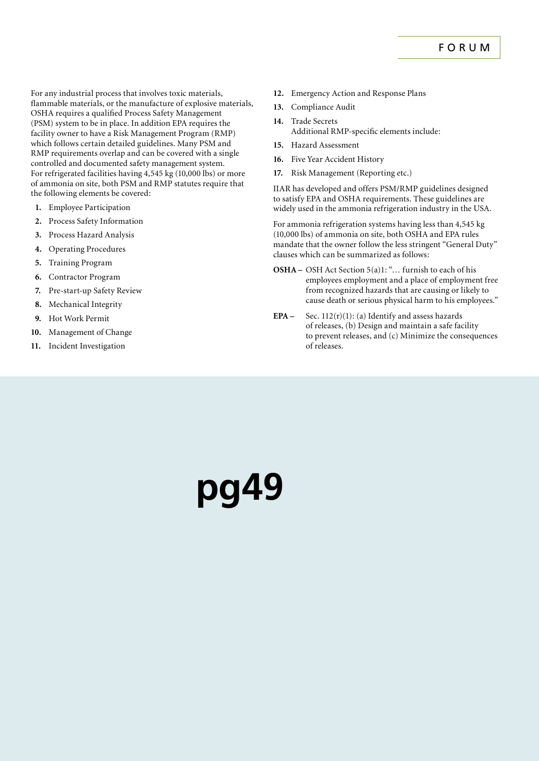For any industrial process that involves toxic materials, flammable materials, or the manufacture of explosive materials, OSHA requires a qualified Process Safety Management (PSM) system to be in place. In addition EPA requires the facility owner to have a Risk Management Program (RMP) which follows certain detailed guidelines. Many PSM and RMP requirements overlap and can be covered with a single controlled and documented safety management system. For refrigerated facilities having 4,545 kg (10,000 lbs) or more of ammonia on site, both PSM and RMP statutes require that the following elements be covered:

- **1.** Employee Participation
- **2.** Process Safety Information
- **3.** Process Hazard Analysis
- **4.** Operating Procedures
- **5.** Training Program
- **6.** Contractor Program
- **7.** Pre-start-up Safety Review
- **8.** Mechanical Integrity
- **9.** Hot Work Permit
- **10.** Management of Change
- **11.** Incident Investigation
- **12.** Emergency Action and Response Plans
- **13.** Compliance Audit
- **14.** Trade Secrets Additional RMP-specific elements include:
- **15.** Hazard Assessment
- **16.** Five Year Accident History
- **17.** Risk Management (Reporting etc.)

IIAR has developed and offers PSM/RMP guidelines designed to satisfy EPA and OSHA requirements. These guidelines are widely used in the ammonia refrigeration industry in the USA.

For ammonia refrigeration systems having less than 4,545 kg (10,000 lbs) of ammonia on site, both OSHA and EPA rules mandate that the owner follow the less stringent "General Duty" clauses which can be summarized as follows:

- **OSHA –** OSH Act Section 5(a)1: "… furnish to each of his employees employment and a place of employment free from recognized hazards that are causing or likely to cause death or serious physical harm to his employees."
- **EPA** Sec. 112(r)(1): (a) Identify and assess hazards of releases, (b) Design and maintain a safe facility to prevent releases, and (c) Minimize the consequences of releases.

# **pg49**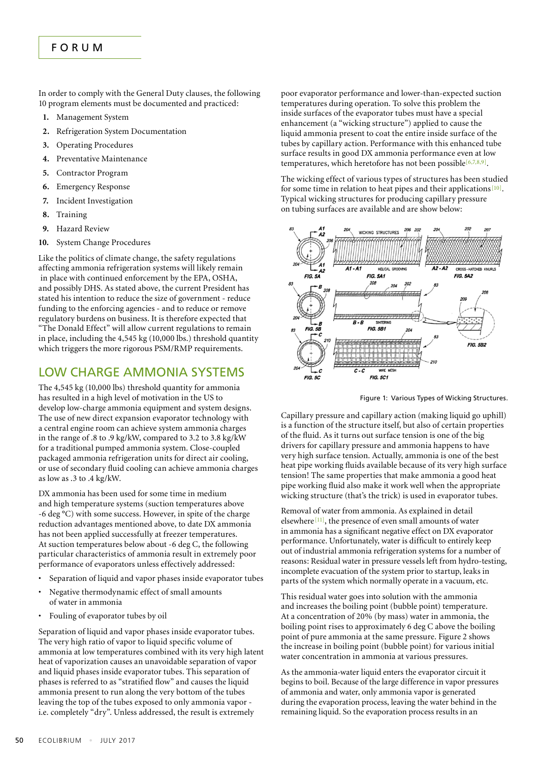#### FORUM

In order to comply with the General Duty clauses, the following 10 program elements must be documented and practiced:

- **1.** Management System
- **2.** Refrigeration System Documentation
- **3.** Operating Procedures
- **4.** Preventative Maintenance
- **5.** Contractor Program
- **6.** Emergency Response
- **7.** Incident Investigation
- **8.** Training
- **9.** Hazard Review
- **10.** System Change Procedures

Like the politics of climate change, the safety regulations affecting ammonia refrigeration systems will likely remain in place with continued enforcement by the EPA, OSHA, and possibly DHS. As stated above, the current President has stated his intention to reduce the size of government - reduce funding to the enforcing agencies - and to reduce or remove regulatory burdens on business. It is therefore expected that "The Donald Effect" will allow current regulations to remain in place, including the 4,545 kg (10,000 lbs.) threshold quantity which triggers the more rigorous PSM/RMP requirements.

### LOW CHARGE AMMONIA SYSTEMS

The 4,545 kg (10,000 lbs) threshold quantity for ammonia has resulted in a high level of motivation in the US to develop low-charge ammonia equipment and system designs. The use of new direct expansion evaporator technology with a central engine room can achieve system ammonia charges in the range of .8 to .9 kg/kW, compared to 3.2 to 3.8 kg/kW for a traditional pumped ammonia system. Close-coupled packaged ammonia refrigeration units for direct air cooling, or use of secondary fluid cooling can achieve ammonia charges as low as .3 to .4 kg/kW.

DX ammonia has been used for some time in medium and high temperature systems (suction temperatures above -6 deg °C) with some success. However, in spite of the charge reduction advantages mentioned above, to date DX ammonia has not been applied successfully at freezer temperatures. At suction temperatures below about -6 deg C, the following particular characteristics of ammonia result in extremely poor performance of evaporators unless effectively addressed:

- Separation of liquid and vapor phases inside evaporator tubes
- Negative thermodynamic effect of small amounts of water in ammonia
- Fouling of evaporator tubes by oil

Separation of liquid and vapor phases inside evaporator tubes. The very high ratio of vapor to liquid specific volume of ammonia at low temperatures combined with its very high latent heat of vaporization causes an unavoidable separation of vapor and liquid phases inside evaporator tubes. This separation of phases is referred to as "stratified flow" and causes the liquid ammonia present to run along the very bottom of the tubes leaving the top of the tubes exposed to only ammonia vapor i.e. completely "dry". Unless addressed, the result is extremely

poor evaporator performance and lower-than-expected suction temperatures during operation. To solve this problem the inside surfaces of the evaporator tubes must have a special enhancement (a "wicking structure") applied to cause the liquid ammonia present to coat the entire inside surface of the tubes by capillary action. Performance with this enhanced tube surface results in good DX ammonia performance even at low temperatures, which heretofore has not been possible<sup>[6,7,8,9]</sup>.

The wicking effect of various types of structures has been studied for some time in relation to heat pipes and their applications<sup>[10]</sup>. Typical wicking structures for producing capillary pressure on tubing surfaces are available and are show below:



Figure 1: Various Types of Wicking Structures.

Capillary pressure and capillary action (making liquid go uphill) is a function of the structure itself, but also of certain properties of the fluid. As it turns out surface tension is one of the big drivers for capillary pressure and ammonia happens to have very high surface tension. Actually, ammonia is one of the best heat pipe working fluids available because of its very high surface tension! The same properties that make ammonia a good heat pipe working fluid also make it work well when the appropriate wicking structure (that's the trick) is used in evaporator tubes.

Removal of water from ammonia. As explained in detail elsewhere<sup>[11]</sup>, the presence of even small amounts of water in ammonia has a significant negative effect on DX evaporator performance. Unfortunately, water is difficult to entirely keep out of industrial ammonia refrigeration systems for a number of reasons: Residual water in pressure vessels left from hydro-testing, incomplete evacuation of the system prior to startup, leaks in parts of the system which normally operate in a vacuum, etc.

This residual water goes into solution with the ammonia and increases the boiling point (bubble point) temperature. At a concentration of 20% (by mass) water in ammonia, the boiling point rises to approximately 6 deg C above the boiling point of pure ammonia at the same pressure. Figure 2 shows the increase in boiling point (bubble point) for various initial water concentration in ammonia at various pressures.

As the ammonia-water liquid enters the evaporator circuit it begins to boil. Because of the large difference in vapor pressures of ammonia and water, only ammonia vapor is generated during the evaporation process, leaving the water behind in the remaining liquid. So the evaporation process results in an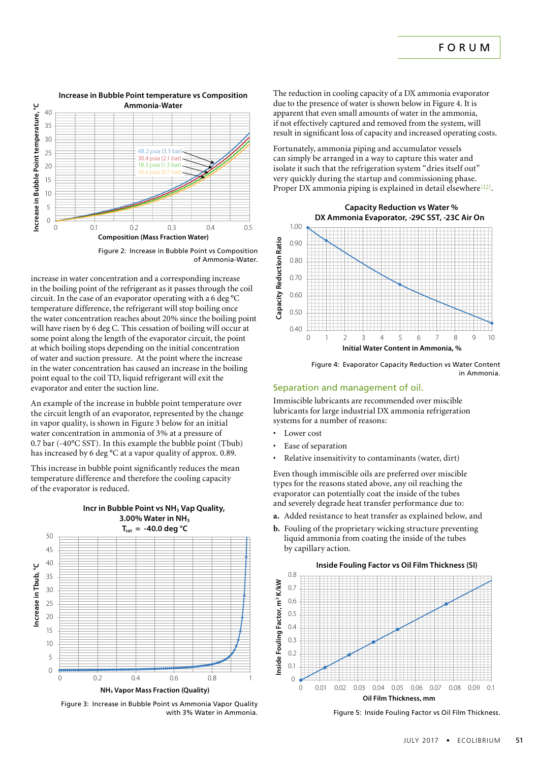

Figure 2: Increase in Bubble Point vs Composition of Ammonia-Water.

increase in water concentration and a corresponding increase in the boiling point of the refrigerant as it passes through the coil circuit. In the case of an evaporator operating with a 6 deg °C temperature difference, the refrigerant will stop boiling once the water concentration reaches about 20% since the boiling point will have risen by 6 deg C. This cessation of boiling will occur at some point along the length of the evaporator circuit, the point at which boiling stops depending on the initial concentration of water and suction pressure. At the point where the increase in the water concentration has caused an increase in the boiling point equal to the coil TD, liquid refrigerant will exit the evaporator and enter the suction line.

An example of the increase in bubble point temperature over the circuit length of an evaporator, represented by the change in vapor quality, is shown in Figure 3 below for an initial water concentration in ammonia of 3% at a pressure of 0.7 bar (-40°C SST). In this example the bubble point (Tbub) has increased by 6 deg °C at a vapor quality of approx. 0.89.

This increase in bubble point significantly reduces the mean temperature difference and therefore the cooling capacity of the evaporator is reduced.



Figure 3: Increase in Bubble Point vs Ammonia Vapor Quality

The reduction in cooling capacity of a DX ammonia evaporator due to the presence of water is shown below in Figure 4. It is apparent that even small amounts of water in the ammonia, if not effectively captured and removed from the system, will result in significant loss of capacity and increased operating costs.

Fortunately, ammonia piping and accumulator vessels can simply be arranged in a way to capture this water and isolate it such that the refrigeration system "dries itself out" very quickly during the startup and commissioning phase. Proper DX ammonia piping is explained in detail elsewhere<sup>[12]</sup>.



Figure 4: Evaporator Capacity Reduction vs Water Content in Ammonia.

#### Separation and management of oil.

Immiscible lubricants are recommended over miscible lubricants for large industrial DX ammonia refrigeration systems for a number of reasons:

- Lower cost
- Ease of separation
- Relative insensitivity to contaminants (water, dirt)

Even though immiscible oils are preferred over miscible types for the reasons stated above, any oil reaching the evaporator can potentially coat the inside of the tubes and severely degrade heat transfer performance due to:

- **a.** Added resistance to heat transfer as explained below, and
- **b.** Fouling of the proprietary wicking structure preventing liquid ammonia from coating the inside of the tubes by capillary action.





with 3% Water in Ammonia. Figure 5: Inside Fouling Factor vs Oil Film Thickness.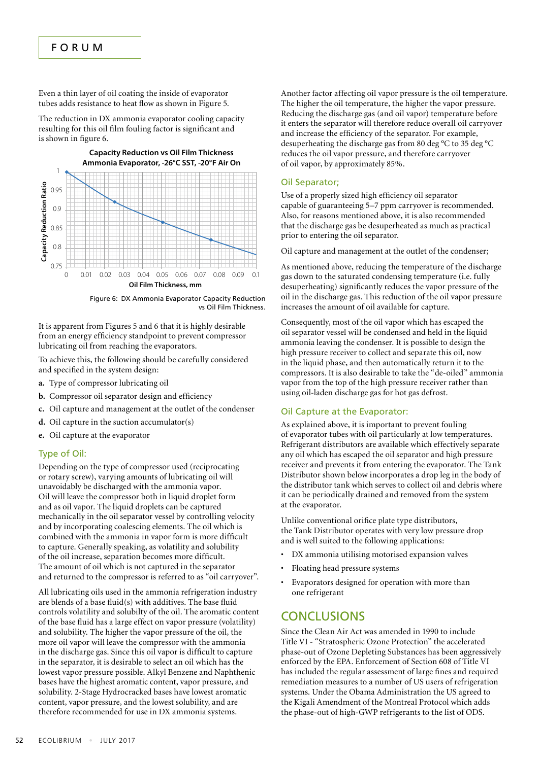#### FORUM

Even a thin layer of oil coating the inside of evaporator tubes adds resistance to heat flow as shown in Figure 5.

The reduction in DX ammonia evaporator cooling capacity resulting for this oil film fouling factor is significant and is shown in figure 6.



Figure 6: DX Ammonia Evaporator Capacity Reduction vs Oil Film Thickness.

It is apparent from Figures 5 and 6 that it is highly desirable from an energy efficiency standpoint to prevent compressor lubricating oil from reaching the evaporators.

To achieve this, the following should be carefully considered and specified in the system design:

- **a.** Type of compressor lubricating oil
- **b.** Compressor oil separator design and efficiency
- **c.** Oil capture and management at the outlet of the condenser
- **d.** Oil capture in the suction accumulator(s)
- **e.** Oil capture at the evaporator

#### Type of Oil:

Depending on the type of compressor used (reciprocating or rotary screw), varying amounts of lubricating oil will unavoidably be discharged with the ammonia vapor. Oil will leave the compressor both in liquid droplet form and as oil vapor. The liquid droplets can be captured mechanically in the oil separator vessel by controlling velocity and by incorporating coalescing elements. The oil which is combined with the ammonia in vapor form is more difficult to capture. Generally speaking, as volatility and solubility of the oil increase, separation becomes more difficult. The amount of oil which is not captured in the separator and returned to the compressor is referred to as "oil carryover".

All lubricating oils used in the ammonia refrigeration industry are blends of a base fluid(s) with additives. The base fluid controls volatility and solubilty of the oil. The aromatic content of the base fluid has a large effect on vapor pressure (volatility) and solubility. The higher the vapor pressure of the oil, the more oil vapor will leave the compressor with the ammonia in the discharge gas. Since this oil vapor is difficult to capture in the separator, it is desirable to select an oil which has the lowest vapor pressure possible. Alkyl Benzene and Naphthenic bases have the highest aromatic content, vapor pressure, and solubility. 2-Stage Hydrocracked bases have lowest aromatic content, vapor pressure, and the lowest solubility, and are therefore recommended for use in DX ammonia systems.

Another factor affecting oil vapor pressure is the oil temperature. The higher the oil temperature, the higher the vapor pressure. Reducing the discharge gas (and oil vapor) temperature before it enters the separator will therefore reduce overall oil carryover and increase the efficiency of the separator. For example, desuperheating the discharge gas from 80 deg °C to 35 deg °C reduces the oil vapor pressure, and therefore carryover of oil vapor, by approximately 85%.

#### Oil Separator;

Use of a properly sized high efficiency oil separator capable of guaranteeing 5–7 ppm carryover is recommended. Also, for reasons mentioned above, it is also recommended that the discharge gas be desuperheated as much as practical prior to entering the oil separator.

Oil capture and management at the outlet of the condenser;

As mentioned above, reducing the temperature of the discharge gas down to the saturated condensing temperature (i.e. fully desuperheating) significantly reduces the vapor pressure of the oil in the discharge gas. This reduction of the oil vapor pressure increases the amount of oil available for capture.

Consequently, most of the oil vapor which has escaped the oil separator vessel will be condensed and held in the liquid ammonia leaving the condenser. It is possible to design the high pressure receiver to collect and separate this oil, now in the liquid phase, and then automatically return it to the compressors. It is also desirable to take the "de-oiled" ammonia vapor from the top of the high pressure receiver rather than using oil-laden discharge gas for hot gas defrost.

#### Oil Capture at the Evaporator:

As explained above, it is important to prevent fouling of evaporator tubes with oil particularly at low temperatures. Refrigerant distributors are available which effectively separate any oil which has escaped the oil separator and high pressure receiver and prevents it from entering the evaporator. The Tank Distributor shown below incorporates a drop leg in the body of the distributor tank which serves to collect oil and debris where it can be periodically drained and removed from the system at the evaporator.

Unlike conventional orifice plate type distributors, the Tank Distributor operates with very low pressure drop and is well suited to the following applications:

- DX ammonia utilising motorised expansion valves
- Floating head pressure systems
- Evaporators designed for operation with more than one refrigerant

#### **CONCLUSIONS**

Since the Clean Air Act was amended in 1990 to include Title VI - "Stratospheric Ozone Protection" the accelerated phase-out of Ozone Depleting Substances has been aggressively enforced by the EPA. Enforcement of Section 608 of Title VI has included the regular assessment of large fines and required remediation measures to a number of US users of refrigeration systems. Under the Obama Administration the US agreed to the Kigali Amendment of the Montreal Protocol which adds the phase-out of high-GWP refrigerants to the list of ODS.